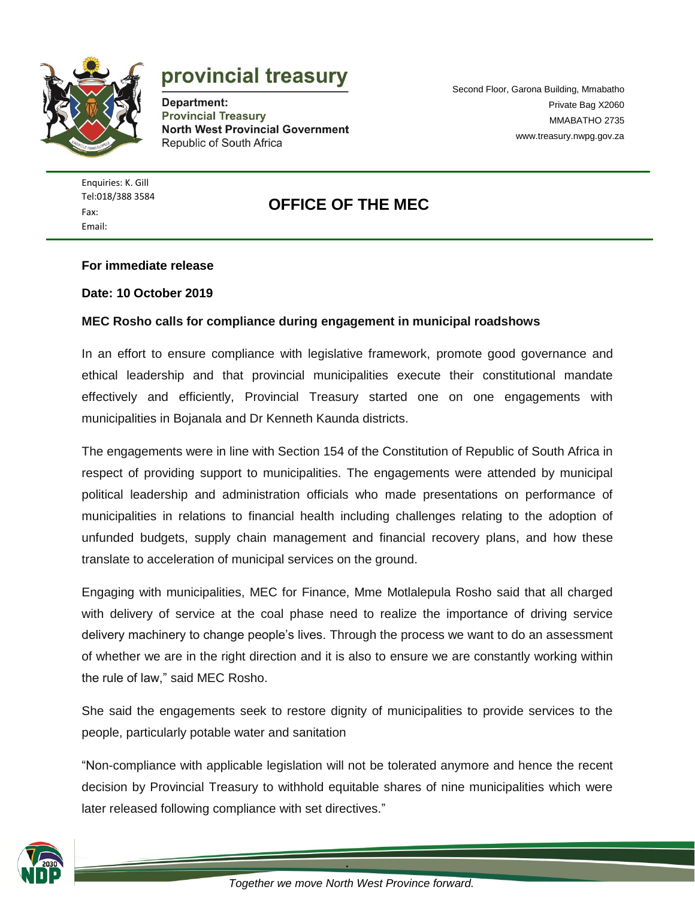

# provincial treasury

Department: **Provincial Treasury North West Provincial Government** Republic of South Africa

Second Floor, Garona Building, Mmabatho Private Bag X2060 MMABATHO 2735 [www.treasury.nwpg.gov.za](http://www.treasury.nwpg.gov.za/)

Enquiries: K. Gill [Tel:018/388](tel:018/388) 3584 Fax: Email:

## **OFFICE OF THE MEC**

#### **For immediate release**

#### **Date: 10 October 2019**

#### **MEC Rosho calls for compliance during engagement in municipal roadshows**

In an effort to ensure compliance with legislative framework, promote good governance and ethical leadership and that provincial municipalities execute their constitutional mandate effectively and efficiently, Provincial Treasury started one on one engagements with municipalities in Bojanala and Dr Kenneth Kaunda districts.

The engagements were in line with Section 154 of the Constitution of Republic of South Africa in respect of providing support to municipalities. The engagements were attended by municipal political leadership and administration officials who made presentations on performance of municipalities in relations to financial health including challenges relating to the adoption of unfunded budgets, supply chain management and financial recovery plans, and how these translate to acceleration of municipal services on the ground.

Engaging with municipalities, MEC for Finance, Mme Motlalepula Rosho said that all charged with delivery of service at the coal phase need to realize the importance of driving service delivery machinery to change people's lives. Through the process we want to do an assessment of whether we are in the right direction and it is also to ensure we are constantly working within the rule of law," said MEC Rosho.

She said the engagements seek to restore dignity of municipalities to provide services to the people, particularly potable water and sanitation

"Non-compliance with applicable legislation will not be tolerated anymore and hence the recent decision by Provincial Treasury to withhold equitable shares of nine municipalities which were later released following compliance with set directives."